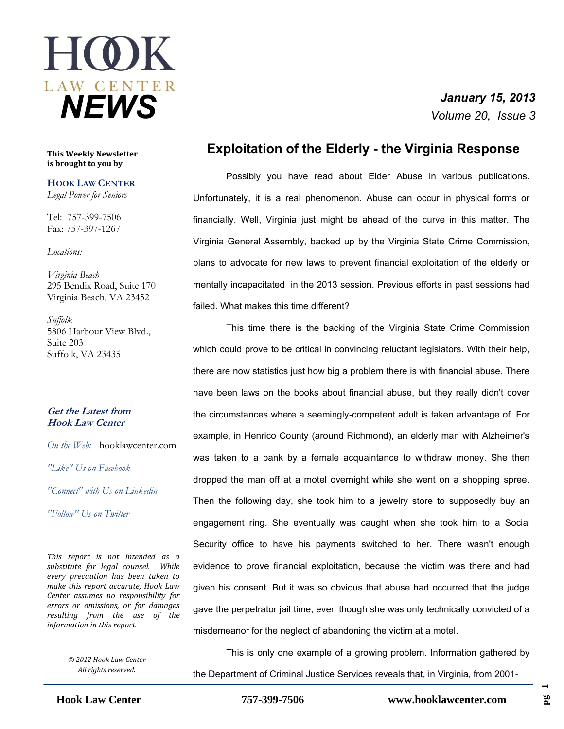

**This Weekly Newsletter is brought to you by** 

**HOOK LAW CENTER** *Legal Power for Seniors*

Tel: 757-399-7506 Fax: 757-397-1267

#### *Locations:*

*Virginia Beach* 295 Bendix Road, Suite 170 Virginia Beach, VA 23452

*Suffolk* 5806 Harbour View Blvd., Suite 203 Suffolk, VA 23435

### **Get the Latest from Hook Law Center**

*On the Web:* [hooklawcenter.com](http://www.hooklawcenter.com/)

*"Like" Us on Facebook*

*"Connect" with Us on Linkedin*

*"Follow" Us on Twitter*

*NEWS This report is not intended as a substitute for legal counsel. While every precaution has been taken to make this report accurate, Hook Law Center assumes no responsibility for errors or omissions, or for damages resulting from the use of the information in this report.*

> *© 2012 Hook Law Center All rights reserved.*

## **Exploitation of the Elderly - the Virginia Response**

 Possibly you have read about Elder Abuse in various publications. Unfortunately, it is a real phenomenon. Abuse can occur in physical forms or financially. Well, Virginia just might be ahead of the curve in this matter. The Virginia General Assembly, backed up by the Virginia State Crime Commission, plans to advocate for new laws to prevent financial exploitation of the elderly or mentally incapacitated in the 2013 session. Previous efforts in past sessions had failed. What makes this time different?

This time there is the backing of the Virginia State Crime Commission which could prove to be critical in convincing reluctant legislators. With their help, there are now statistics just how big a problem there is with financial abuse. There have been laws on the books about financial abuse, but they really didn't cover the circumstances where a seemingly-competent adult is taken advantage of. For example, in Henrico County (around Richmond), an elderly man with Alzheimer's was taken to a bank by a female acquaintance to withdraw money. She then dropped the man off at a motel overnight while she went on a shopping spree. Then the following day, she took him to a jewelry store to supposedly buy an engagement ring. She eventually was caught when she took him to a Social Security office to have his payments switched to her. There wasn't enough evidence to prove financial exploitation, because the victim was there and had given his consent. But it was so obvious that abuse had occurred that the judge gave the perpetrator jail time, even though she was only technically convicted of a misdemeanor for the neglect of abandoning the victim at a motel.

This is only one example of a growing problem. Information gathered by the Department of Criminal Justice Services reveals that, in Virginia, from 2001-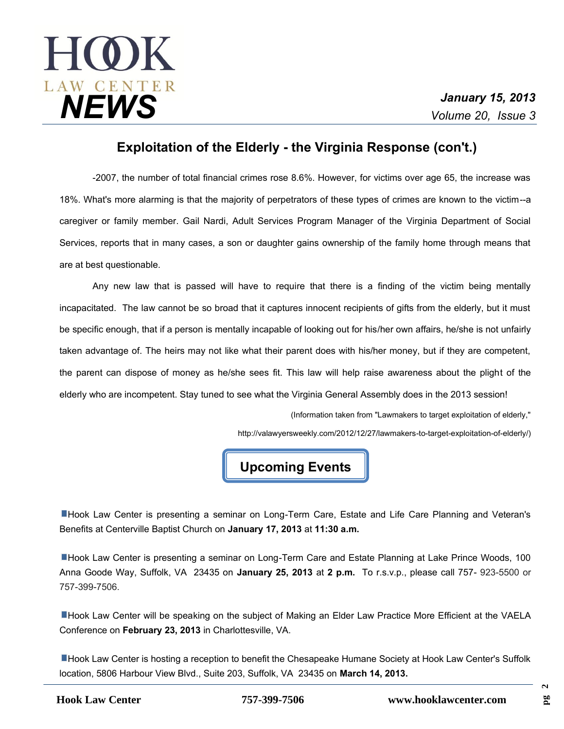# **HOK** *January 15, 2013 NEWS Volume 20, Issue 3*

# **Exploitation of the Elderly - the Virginia Response (con't.)**

-2007, the number of total financial crimes rose 8.6%. However, for victims over age 65, the increase was 18%. What's more alarming is that the majority of perpetrators of these types of crimes are known to the victim--a caregiver or family member. Gail Nardi, Adult Services Program Manager of the Virginia Department of Social Services, reports that in many cases, a son or daughter gains ownership of the family home through means that are at best questionable.

Any new law that is passed will have to require that there is a finding of the victim being mentally incapacitated. The law cannot be so broad that it captures innocent recipients of gifts from the elderly, but it must be specific enough, that if a person is mentally incapable of looking out for his/her own affairs, he/she is not unfairly taken advantage of. The heirs may not like what their parent does with his/her money, but if they are competent, the parent can dispose of money as he/she sees fit. This law will help raise awareness about the plight of the elderly who are incompetent. Stay tuned to see what the Virginia General Assembly does in the 2013 session!

(Information taken from "Lawmakers to target exploitation of elderly,"

http://valawyersweekly.com/2012/12/27/lawmakers-to-target-exploitation-of-elderly/)

# **Upcoming Events**

Hook Law Center is presenting a seminar on Long-Term Care, Estate and Life Care Planning and Veteran's Benefits at Centerville Baptist Church on **January 17, 2013** at **11:30 a.m.**

Hook Law Center is presenting a seminar on Long-Term Care and Estate Planning at Lake Prince Woods, 100 Anna Goode Way, Suffolk, VA 23435 on **January 25, 2013** at **2 p.m.** To r.s.v.p., please call 757- 923-5500 or 757-399-7506.

**Hook Law Center will be speaking on the subject of Making an Elder Law Practice More Efficient at the VAELA** Conference on **February 23, 2013** in Charlottesville, VA.

Hook Law Center is hosting a reception to benefit the Chesapeake Humane Society at Hook Law Center's Suffolk location, 5806 Harbour View Blvd., Suite 203, Suffolk, VA 23435 on **March 14, 2013.**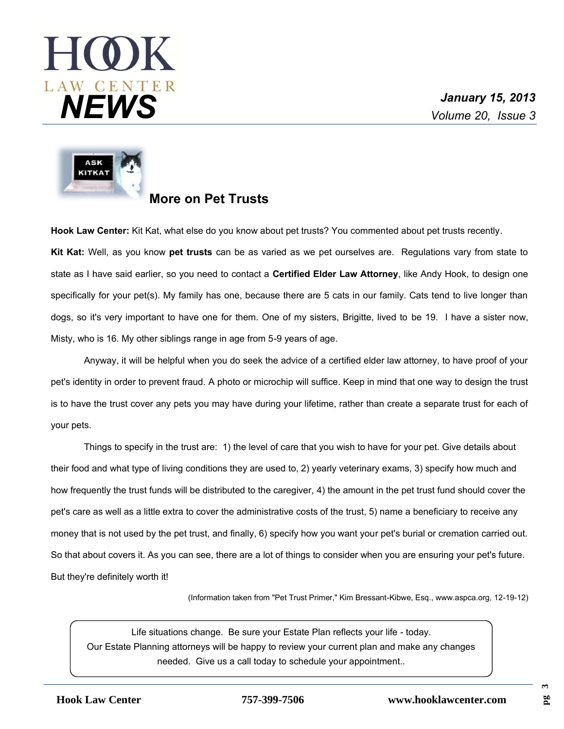# $H(Q)K$ *January 15, 2013 NEWS Volume 20, Issue 3*



# **More on Pet Trusts**

**Hook Law Center:** Kit Kat, what else do you know about pet trusts? You commented about pet trusts recently. **Kit Kat:** Well, as you know **pet trusts** can be as varied as we pet ourselves are. Regulations vary from state to state as I have said earlier, so you need to contact a **Certified Elder Law Attorney**, like Andy Hook, to design one specifically for your pet(s). My family has one, because there are 5 cats in our family. Cats tend to live longer than dogs, so it's very important to have one for them. One of my sisters, Brigitte, lived to be 19. I have a sister now, Misty, who is 16. My other siblings range in age from 5-9 years of age.

Anyway, it will be helpful when you do seek the advice of a certified elder law attorney, to have proof of your pet's identity in order to prevent fraud. A photo or microchip will suffice. Keep in mind that one way to design the trust is to have the trust cover any pets you may have during your lifetime, rather than create a separate trust for each of your pets.

Things to specify in the trust are: 1) the level of care that you wish to have for your pet. Give details about their food and what type of living conditions they are used to, 2) yearly veterinary exams, 3) specify how much and how frequently the trust funds will be distributed to the caregiver, 4) the amount in the pet trust fund should cover the pet's care as well as a little extra to cover the administrative costs of the trust, 5) name a beneficiary to receive any money that is not used by the pet trust, and finally, 6) specify how you want your pet's burial or cremation carried out. So that about covers it. As you can see, there are a lot of things to consider when you are ensuring your pet's future. But they're definitely worth it!

(Information taken from "Pet Trust Primer," Kim Bressant-Kibwe, Esq., www.aspca.org, 12-19-12)

Life situations change. Be sure your Estate Plan reflects your life - today. Our Estate Planning attorneys will be happy to review your current plan and make any changes needed. Give us a call today to schedule your appointment..